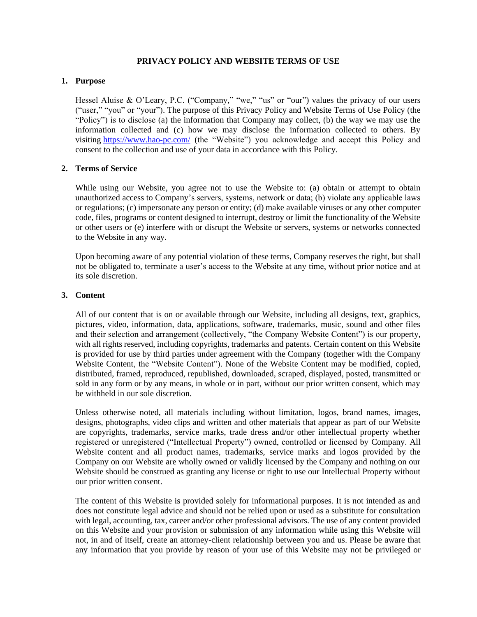### **PRIVACY POLICY AND WEBSITE TERMS OF USE**

#### **1. Purpose**

Hessel Aluise & O'Leary, P.C. ("Company," "we," "us" or "our") values the privacy of our users ("user," "you" or "your"). The purpose of this Privacy Policy and Website Terms of Use Policy (the "Policy") is to disclose (a) the information that Company may collect, (b) the way we may use the information collected and (c) how we may disclose the information collected to others. By visiting <https://www.hao-pc.com/> (the "Website") you acknowledge and accept this Policy and consent to the collection and use of your data in accordance with this Policy.

### **2. Terms of Service**

While using our Website, you agree not to use the Website to: (a) obtain or attempt to obtain unauthorized access to Company's servers, systems, network or data; (b) violate any applicable laws or regulations; (c) impersonate any person or entity; (d) make available viruses or any other computer code, files, programs or content designed to interrupt, destroy or limit the functionality of the Website or other users or (e) interfere with or disrupt the Website or servers, systems or networks connected to the Website in any way.

Upon becoming aware of any potential violation of these terms, Company reserves the right, but shall not be obligated to, terminate a user's access to the Website at any time, without prior notice and at its sole discretion.

### **3. Content**

All of our content that is on or available through our Website, including all designs, text, graphics, pictures, video, information, data, applications, software, trademarks, music, sound and other files and their selection and arrangement (collectively, "the Company Website Content") is our property, with all rights reserved, including copyrights, trademarks and patents. Certain content on this Website is provided for use by third parties under agreement with the Company (together with the Company Website Content, the "Website Content"). None of the Website Content may be modified, copied, distributed, framed, reproduced, republished, downloaded, scraped, displayed, posted, transmitted or sold in any form or by any means, in whole or in part, without our prior written consent, which may be withheld in our sole discretion.

Unless otherwise noted, all materials including without limitation, logos, brand names, images, designs, photographs, video clips and written and other materials that appear as part of our Website are copyrights, trademarks, service marks, trade dress and/or other intellectual property whether registered or unregistered ("Intellectual Property") owned, controlled or licensed by Company. All Website content and all product names, trademarks, service marks and logos provided by the Company on our Website are wholly owned or validly licensed by the Company and nothing on our Website should be construed as granting any license or right to use our Intellectual Property without our prior written consent.

The content of this Website is provided solely for informational purposes. It is not intended as and does not constitute legal advice and should not be relied upon or used as a substitute for consultation with legal, accounting, tax, career and/or other professional advisors. The use of any content provided on this Website and your provision or submission of any information while using this Website will not, in and of itself, create an attorney-client relationship between you and us. Please be aware that any information that you provide by reason of your use of this Website may not be privileged or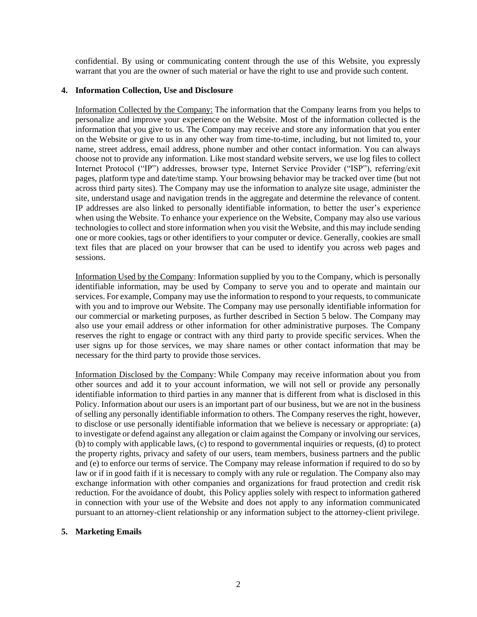confidential. By using or communicating content through the use of this Website, you expressly warrant that you are the owner of such material or have the right to use and provide such content.

# **4. Information Collection, Use and Disclosure**

Information Collected by the Company: The information that the Company learns from you helps to personalize and improve your experience on the Website. Most of the information collected is the information that you give to us. The Company may receive and store any information that you enter on the Website or give to us in any other way from time-to-time, including, but not limited to, your name, street address, email address, phone number and other contact information. You can always choose not to provide any information. Like most standard website servers, we use log files to collect Internet Protocol ("IP") addresses, browser type, Internet Service Provider ("ISP"), referring/exit pages, platform type and date/time stamp. Your browsing behavior may be tracked over time (but not across third party sites). The Company may use the information to analyze site usage, administer the site, understand usage and navigation trends in the aggregate and determine the relevance of content. IP addresses are also linked to personally identifiable information, to better the user's experience when using the Website. To enhance your experience on the Website, Company may also use various technologies to collect and store information when you visit the Website, and this may include sending one or more cookies, tags or other identifiers to your computer or device. Generally, cookies are small text files that are placed on your browser that can be used to identify you across web pages and sessions.

Information Used by the Company: Information supplied by you to the Company, which is personally identifiable information, may be used by Company to serve you and to operate and maintain our services. For example, Company may use the information to respond to your requests, to communicate with you and to improve our Website. The Company may use personally identifiable information for our commercial or marketing purposes, as further described in Section 5 below. The Company may also use your email address or other information for other administrative purposes. The Company reserves the right to engage or contract with any third party to provide specific services. When the user signs up for those services, we may share names or other contact information that may be necessary for the third party to provide those services.

Information Disclosed by the Company: While Company may receive information about you from other sources and add it to your account information, we will not sell or provide any personally identifiable information to third parties in any manner that is different from what is disclosed in this Policy. Information about our users is an important part of our business, but we are not in the business of selling any personally identifiable information to others. The Company reserves the right, however, to disclose or use personally identifiable information that we believe is necessary or appropriate: (a) to investigate or defend against any allegation or claim against the Company or involving our services, (b) to comply with applicable laws, (c) to respond to governmental inquiries or requests, (d) to protect the property rights, privacy and safety of our users, team members, business partners and the public and (e) to enforce our terms of service. The Company may release information if required to do so by law or if in good faith if it is necessary to comply with any rule or regulation. The Company also may exchange information with other companies and organizations for fraud protection and credit risk reduction. For the avoidance of doubt, this Policy applies solely with respect to information gathered in connection with your use of the Website and does not apply to any information communicated pursuant to an attorney-client relationship or any information subject to the attorney-client privilege.

## **5. Marketing Emails**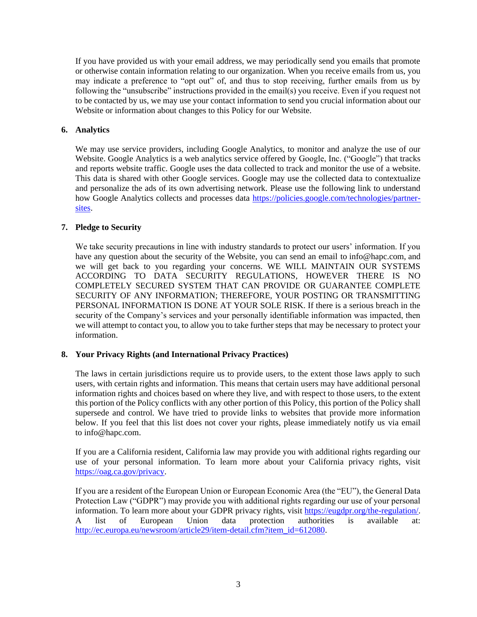If you have provided us with your email address, we may periodically send you emails that promote or otherwise contain information relating to our organization. When you receive emails from us, you may indicate a preference to "opt out" of, and thus to stop receiving, further emails from us by following the "unsubscribe" instructions provided in the email(s) you receive. Even if you request not to be contacted by us, we may use your contact information to send you crucial information about our Website or information about changes to this Policy for our Website.

# **6. Analytics**

We may use service providers, including Google Analytics, to monitor and analyze the use of our Website. Google Analytics is a web analytics service offered by Google, Inc. ("Google") that tracks and reports website traffic. Google uses the data collected to track and monitor the use of a website. This data is shared with other Google services. Google may use the collected data to contextualize and personalize the ads of its own advertising network. Please use the following link to understand how Google Analytics collects and processes data [https://policies.google.com/technologies/partner](https://policies.google.com/technologies/partner-sites)[sites.](https://policies.google.com/technologies/partner-sites)

# **7. Pledge to Security**

We take security precautions in line with industry standards to protect our users' information. If you have any question about the security of the Website, you can send an email to info@hapc.com, and we will get back to you regarding your concerns. WE WILL MAINTAIN OUR SYSTEMS ACCORDING TO DATA SECURITY REGULATIONS, HOWEVER THERE IS NO COMPLETELY SECURED SYSTEM THAT CAN PROVIDE OR GUARANTEE COMPLETE SECURITY OF ANY INFORMATION; THEREFORE, YOUR POSTING OR TRANSMITTING PERSONAL INFORMATION IS DONE AT YOUR SOLE RISK. If there is a serious breach in the security of the Company's services and your personally identifiable information was impacted, then we will attempt to contact you, to allow you to take further steps that may be necessary to protect your information.

## **8. Your Privacy Rights (and International Privacy Practices)**

The laws in certain jurisdictions require us to provide users, to the extent those laws apply to such users, with certain rights and information. This means that certain users may have additional personal information rights and choices based on where they live, and with respect to those users, to the extent this portion of the Policy conflicts with any other portion of this Policy, this portion of the Policy shall supersede and control. We have tried to provide links to websites that provide more information below. If you feel that this list does not cover your rights, please immediately notify us via email to info@hapc.com.

If you are a California resident, California law may provide you with additional rights regarding our use of your personal information. To learn more about your California privacy rights, visit [https://oag.ca.gov/privacy.](https://oag.ca.gov/privacy)

If you are a resident of the European Union or European Economic Area (the "EU"), the General Data Protection Law ("GDPR") may provide you with additional rights regarding our use of your personal information. To learn more about your GDPR privacy rights, visit [https://eugdpr.org/the-regulation/.](https://eugdpr.org/the-regulation/) A list of European Union data protection authorities is available at: [http://ec.europa.eu/newsroom/article29/item-detail.cfm?item\\_id=612080.](http://ec.europa.eu/newsroom/article29/item-detail.cfm?item_id=612080)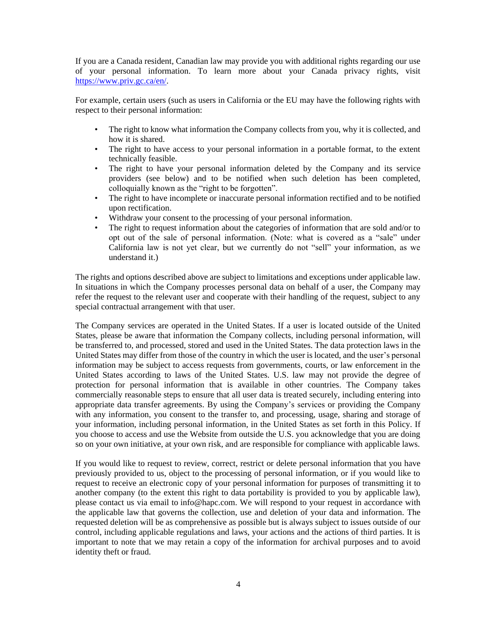If you are a Canada resident, Canadian law may provide you with additional rights regarding our use of your personal information. To learn more about your Canada privacy rights, visit [https://www.priv.gc.ca/en/.](https://www.priv.gc.ca/en/)

For example, certain users (such as users in California or the EU may have the following rights with respect to their personal information:

- The right to know what information the Company collects from you, why it is collected, and how it is shared.
- The right to have access to your personal information in a portable format, to the extent technically feasible.
- The right to have your personal information deleted by the Company and its service providers (see below) and to be notified when such deletion has been completed, colloquially known as the "right to be forgotten".
- The right to have incomplete or inaccurate personal information rectified and to be notified upon rectification.
- Withdraw your consent to the processing of your personal information.
- The right to request information about the categories of information that are sold and/or to opt out of the sale of personal information. (Note: what is covered as a "sale" under California law is not yet clear, but we currently do not "sell" your information, as we understand it.)

The rights and options described above are subject to limitations and exceptions under applicable law. In situations in which the Company processes personal data on behalf of a user, the Company may refer the request to the relevant user and cooperate with their handling of the request, subject to any special contractual arrangement with that user.

The Company services are operated in the United States. If a user is located outside of the United States, please be aware that information the Company collects, including personal information, will be transferred to, and processed, stored and used in the United States. The data protection laws in the United States may differ from those of the country in which the user is located, and the user's personal information may be subject to access requests from governments, courts, or law enforcement in the United States according to laws of the United States. U.S. law may not provide the degree of protection for personal information that is available in other countries. The Company takes commercially reasonable steps to ensure that all user data is treated securely, including entering into appropriate data transfer agreements. By using the Company's services or providing the Company with any information, you consent to the transfer to, and processing, usage, sharing and storage of your information, including personal information, in the United States as set forth in this Policy. If you choose to access and use the Website from outside the U.S. you acknowledge that you are doing so on your own initiative, at your own risk, and are responsible for compliance with applicable laws.

If you would like to request to review, correct, restrict or delete personal information that you have previously provided to us, object to the processing of personal information, or if you would like to request to receive an electronic copy of your personal information for purposes of transmitting it to another company (to the extent this right to data portability is provided to you by applicable law), please contact us via email to info@hapc.com. We will respond to your request in accordance with the applicable law that governs the collection, use and deletion of your data and information. The requested deletion will be as comprehensive as possible but is always subject to issues outside of our control, including applicable regulations and laws, your actions and the actions of third parties. It is important to note that we may retain a copy of the information for archival purposes and to avoid identity theft or fraud.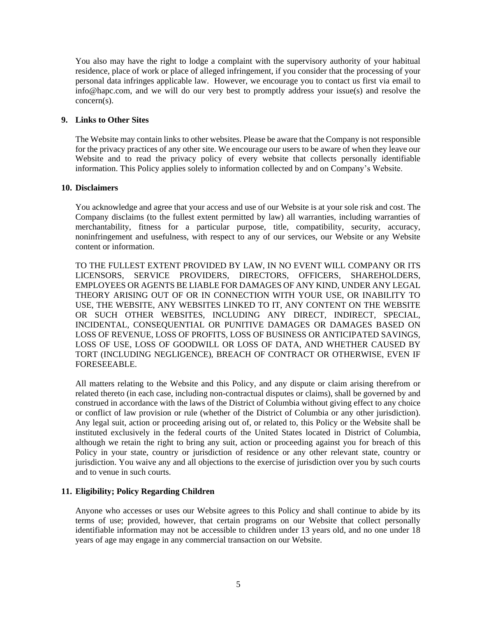You also may have the right to lodge a complaint with the supervisory authority of your habitual residence, place of work or place of alleged infringement, if you consider that the processing of your personal data infringes applicable law. However, we encourage you to contact us first via email to info@hapc.com, and we will do our very best to promptly address your issue(s) and resolve the concern(s).

### **9. Links to Other Sites**

The Website may contain links to other websites. Please be aware that the Company is not responsible for the privacy practices of any other site. We encourage our users to be aware of when they leave our Website and to read the privacy policy of every website that collects personally identifiable information. This Policy applies solely to information collected by and on Company's Website.

### **10. Disclaimers**

You acknowledge and agree that your access and use of our Website is at your sole risk and cost. The Company disclaims (to the fullest extent permitted by law) all warranties, including warranties of merchantability, fitness for a particular purpose, title, compatibility, security, accuracy, noninfringement and usefulness, with respect to any of our services, our Website or any Website content or information.

TO THE FULLEST EXTENT PROVIDED BY LAW, IN NO EVENT WILL COMPANY OR ITS LICENSORS, SERVICE PROVIDERS, DIRECTORS, OFFICERS, SHAREHOLDERS, EMPLOYEES OR AGENTS BE LIABLE FOR DAMAGES OF ANY KIND, UNDER ANY LEGAL THEORY ARISING OUT OF OR IN CONNECTION WITH YOUR USE, OR INABILITY TO USE, THE WEBSITE, ANY WEBSITES LINKED TO IT, ANY CONTENT ON THE WEBSITE OR SUCH OTHER WEBSITES, INCLUDING ANY DIRECT, INDIRECT, SPECIAL, INCIDENTAL, CONSEQUENTIAL OR PUNITIVE DAMAGES OR DAMAGES BASED ON LOSS OF REVENUE, LOSS OF PROFITS, LOSS OF BUSINESS OR ANTICIPATED SAVINGS, LOSS OF USE, LOSS OF GOODWILL OR LOSS OF DATA, AND WHETHER CAUSED BY TORT (INCLUDING NEGLIGENCE), BREACH OF CONTRACT OR OTHERWISE, EVEN IF FORESEEABLE.

All matters relating to the Website and this Policy, and any dispute or claim arising therefrom or related thereto (in each case, including non-contractual disputes or claims), shall be governed by and construed in accordance with the laws of the District of Columbia without giving effect to any choice or conflict of law provision or rule (whether of the District of Columbia or any other jurisdiction). Any legal suit, action or proceeding arising out of, or related to, this Policy or the Website shall be instituted exclusively in the federal courts of the United States located in District of Columbia, although we retain the right to bring any suit, action or proceeding against you for breach of this Policy in your state, country or jurisdiction of residence or any other relevant state, country or jurisdiction. You waive any and all objections to the exercise of jurisdiction over you by such courts and to venue in such courts.

## **11. Eligibility; Policy Regarding Children**

Anyone who accesses or uses our Website agrees to this Policy and shall continue to abide by its terms of use; provided, however, that certain programs on our Website that collect personally identifiable information may not be accessible to children under 13 years old, and no one under 18 years of age may engage in any commercial transaction on our Website.